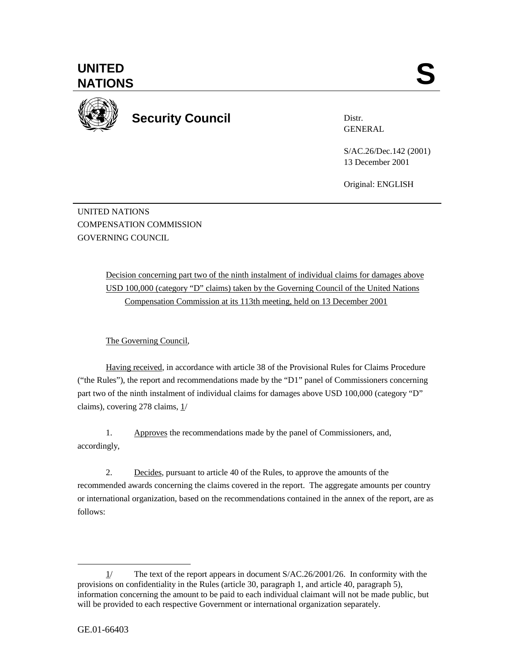

**Security Council** 

Distr. GENERAL

S/AC.26/Dec.142 (2001) 13 December 2001

Original: ENGLISH

UNITED NATIONS COMPENSATION COMMISSION GOVERNING COUNCIL

> Decision concerning part two of the ninth instalment of individual claims for damages above USD 100,000 (category "D" claims) taken by the Governing Council of the United Nations Compensation Commission at its 113th meeting, held on 13 December 2001

The Governing Council,

Having received, in accordance with article 38 of the Provisional Rules for Claims Procedure ("the Rules"), the report and recommendations made by the "D1" panel of Commissioners concerning part two of the ninth instalment of individual claims for damages above USD 100,000 (category "D" claims), covering 278 claims, 1/

1. Approves the recommendations made by the panel of Commissioners, and, accordingly,

2. Decides, pursuant to article 40 of the Rules, to approve the amounts of the recommended awards concerning the claims covered in the report. The aggregate amounts per country or international organization, based on the recommendations contained in the annex of the report, are as follows:

 $\overline{a}$ 

<sup>1/</sup> The text of the report appears in document S/AC.26/2001/26. In conformity with the provisions on confidentiality in the Rules (article 30, paragraph 1, and article 40, paragraph 5), information concerning the amount to be paid to each individual claimant will not be made public, but will be provided to each respective Government or international organization separately.